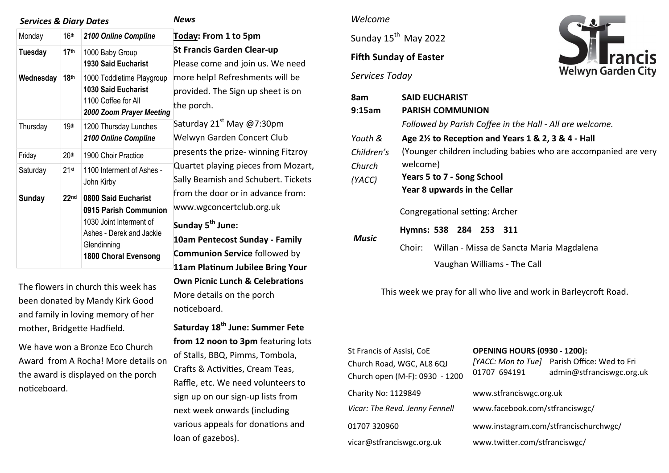| <b>Services &amp; Diary Dates</b> |                  |                                                                                                            | <b>News</b>                                                                                                                                                                                                                                                                    |
|-----------------------------------|------------------|------------------------------------------------------------------------------------------------------------|--------------------------------------------------------------------------------------------------------------------------------------------------------------------------------------------------------------------------------------------------------------------------------|
| Monday                            | 16 <sup>th</sup> | 2100 Online Compline                                                                                       | Today: From 1 to 5pm                                                                                                                                                                                                                                                           |
| Tuesday                           | 17 <sup>th</sup> | 1000 Baby Group<br><b>1930 Said Eucharist</b>                                                              | <b>St Francis Garden Clear-up</b><br>Please come and join us. We need                                                                                                                                                                                                          |
| Wednesday                         | 18 <sup>th</sup> | 1000 Toddletime Playgroup<br><b>1030 Said Eucharist</b><br>1100 Coffee for All<br>2000 Zoom Prayer Meeting | more help! Refreshments will be<br>provided. The Sign up sheet is on<br>the porch.<br>Saturday 21 <sup>st</sup> May @7:30pm<br>Welwyn Garden Concert Club<br>presents the prize- winning Fitzroy<br>Quartet playing pieces from Mozart,<br>Sally Beamish and Schubert. Tickets |
| Thursday                          | 19th             | 1200 Thursday Lunches<br>2100 Online Compline                                                              |                                                                                                                                                                                                                                                                                |
| Friday                            | 20 <sup>th</sup> | 1900 Choir Practice                                                                                        |                                                                                                                                                                                                                                                                                |
| Saturday                          | $21$ st          | 1100 Interment of Ashes -<br>John Kirby                                                                    |                                                                                                                                                                                                                                                                                |
| <b>Sunday</b>                     | 22 <sub>nd</sub> | 0800 Said Eucharist<br>0915 Parish Communion                                                               | from the door or in advance from:<br>www.wgconcertclub.org.uk                                                                                                                                                                                                                  |
|                                   |                  | 1030 Joint Interment of<br>Ashes - Derek and Jackie<br>Glendinning<br><b>1800 Choral Evensong</b>          | Sunday 5 <sup>th</sup> June:                                                                                                                                                                                                                                                   |
|                                   |                  |                                                                                                            | 10am Pentecost Sunday - Family                                                                                                                                                                                                                                                 |
|                                   |                  |                                                                                                            | <b>Communion Service followed by</b>                                                                                                                                                                                                                                           |
|                                   |                  |                                                                                                            | 11am Platinum Jubilee Bring Your                                                                                                                                                                                                                                               |

The flowers in church this week has been donated by Mandy Kirk Good and family in loving memory of her mother, Bridgette Hadfield.

We have won a Bronze Eco Church Award from A Rocha! More details on the award is displayed on the porch noticeboard.

### *Welcome*

**Own Picnic Lunch & Celebrations** 

**Saturday 18th June: Summer Fete**  from 12 noon to 3pm featuring lots

of Stalls, BBQ, Pimms, Tombola, Crafts & Activities, Cream Teas, Raffle, etc. We need volunteers to sign up on our sign-up lists from next week onwards (including various appeals for donations and

More details on the porch

noticeboard.

loan of gazebos).

Sunday 15<sup>th</sup> May 2022

## **Fifth Sunday of Easter**

*Services Today*



| 8am        | <b>SAID EUCHARIST</b>                                           |  |  |  |  |  |
|------------|-----------------------------------------------------------------|--|--|--|--|--|
| 9:15am     | <b>PARISH COMMUNION</b>                                         |  |  |  |  |  |
|            | Followed by Parish Coffee in the Hall - All are welcome.        |  |  |  |  |  |
| Youth &    | Age $2\frac{1}{2}$ to Reception and Years 1 & 2, 3 & 4 - Hall   |  |  |  |  |  |
| Children's | (Younger children including babies who are accompanied are very |  |  |  |  |  |
| Church     | welcome)                                                        |  |  |  |  |  |
| (YACC)     | Years 5 to 7 - Song School<br>Year 8 upwards in the Cellar      |  |  |  |  |  |
|            |                                                                 |  |  |  |  |  |
| Music      | Congregational setting: Archer                                  |  |  |  |  |  |
|            | Hymns: 538 284 253 311                                          |  |  |  |  |  |
|            | Willan - Missa de Sancta Maria Magdalena<br>Choir:              |  |  |  |  |  |
|            | Vaughan Williams - The Call                                     |  |  |  |  |  |

This week we pray for all who live and work in Barleycroft Road.

| St Francis of Assisi, CoE<br>Church Road, WGC, AL8 6QJ<br>Church open (M-F): 0930 - 1200 | <b>OPENING HOURS (0930 - 1200):</b><br>01707 694191 | [YACC: Mon to Tue] Parish Office: Wed to Fri<br>admin@stfranciswgc.org.uk |  |
|------------------------------------------------------------------------------------------|-----------------------------------------------------|---------------------------------------------------------------------------|--|
| Charity No: 1129849                                                                      | www.stfranciswgc.org.uk                             |                                                                           |  |
| Vicar: The Revd. Jenny Fennell                                                           | www.facebook.com/stfranciswgc/                      |                                                                           |  |
| 01707 320960                                                                             | www.instagram.com/stfrancischurchwgc/               |                                                                           |  |
| vicar@stfranciswgc.org.uk                                                                | www.twitter.com/stfranciswgc/                       |                                                                           |  |
|                                                                                          |                                                     |                                                                           |  |